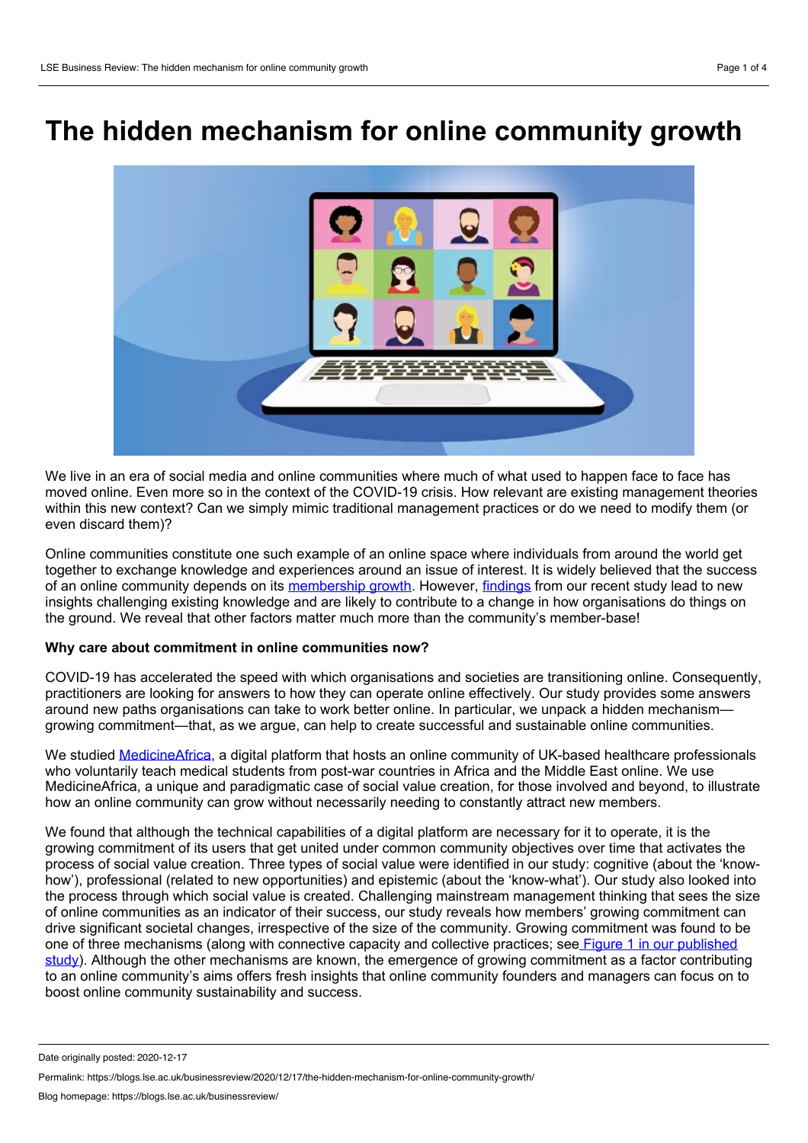# **The hidden mechanism for online community growth**



We live in an era of social media and online communities where much of what used to happen face to face has moved online. Even more so in the context of the COVID-19 crisis. How relevant are existing management theories within this new context? Can we simply mimic traditional management practices or do we need to modify them (or even discard them)?

Online communities constitute one such example of an online space where individuals from around the world get together to exchange knowledge and experiences around an issue of interest. It is widely believed that the success of an online community depends on its [membership](https://aisel.aisnet.org/jais/vol20/iss6/3/) growth. However, [findings](https://doi.org/10.1111/isj.12302) from our recent study lead to new insights challenging existing knowledge and are likely to contribute to a change in how organisations do things on the ground. We reveal that other factors matter much more than the community's member-base!

#### **Why care about commitment in online communities now?**

COVID-19 has accelerated the speed with which organisations and societies are transitioning online. Consequently, practitioners are looking for answers to how they can operate online effectively. Our study provides some answers around new paths organisations can take to work better online. In particular, we unpack a hidden mechanism growing commitment—that, as we argue, can help to create successful and sustainable online communities.

We studied [MedicineAfrica,](https://medicineafrica.com/) a digital platform that hosts an online community of UK-based healthcare professionals who voluntarily teach medical students from post-war countries in Africa and the Middle East online. We use MedicineAfrica, a unique and paradigmatic case of social value creation, for those involved and beyond, to illustrate how an online community can grow without necessarily needing to constantly attract new members.

We found that although the technical capabilities of a digital platform are necessary for it to operate, it is the growing commitment of its users that get united under common community objectives over time that activates the process of social value creation. Three types of social value were identified in our study: cognitive (about the 'know how'), professional (related to new opportunities) and epistemic (about the 'know-what'). Our study also looked into the process through which social value is created. Challenging mainstream management thinking that sees the size of online communities as an indicator of their success, our study reveals how members' growing commitment can drive significant societal changes, irrespective of the size of the community. Growing commitment was found to be one of three [mechanisms](https://doi.org/10.1111/isj.12302) (along with connective capacity and collective practices; see Figure 1 in our published study). Although the other mechanisms are known, the emergence of growing commitment as a factor contributing to an online community's aims offers fresh insights that online community founders and managers can focus on to boost online community sustainability and success.

Date originally posted: 2020-12-17

Permalink: https://blogs.lse.ac.uk/businessreview/2020/12/17/the-hidden-mechanism-for-online-community-growth/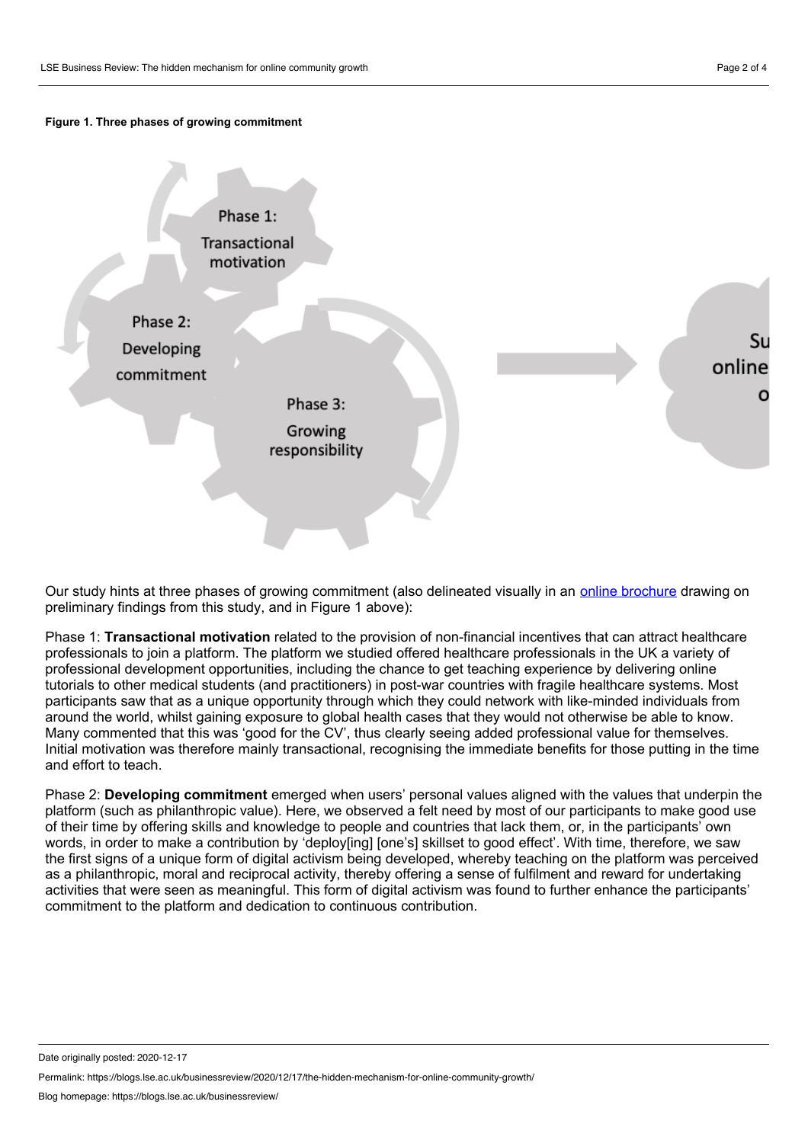## **Figure 1. Three phases of growing commitment**



Our study hints at three phases of growing commitment (also delineated visually in an online [brochure](https://www.sussex.ac.uk/business-school/documents/medicine-africa-digital-brochure.pdf) drawing on preliminary findings from this study, and in Figure 1 above):

Phase 1: **Transactional motivation** related to the provision of non-financial incentives that can attract healthcare professionals to join a platform. The platform we studied offered healthcare professionals in the UK a variety of professional development opportunities, including the chance to get teaching experience by delivering online tutorials to other medical students (and practitioners) in post-war countries with fragile healthcare systems. Most participants saw that as a unique opportunity through which they could network with like-minded individuals from around the world, whilst gaining exposure to global health cases that they would not otherwise be able to know. Many commented that this was 'good for the CV', thus clearly seeing added professional value for themselves. Initial motivation was therefore mainly transactional, recognising the immediate benefits for those putting in the time and effort to teach.

Phase 2: **Developing commitment** emerged when users' personal values aligned with the values that underpin the platform (such as philanthropic value). Here, we observed a felt need by most of our participants to make good use of their time by offering skills and knowledge to people and countries that lack them, or, in the participants' own words, in order to make a contribution by 'deploy[ing] [one's] skillset to good effect'. With time, therefore, we saw the first signs of a unique form of digital activism being developed, whereby teaching on the platform was perceived as a philanthropic, moral and reciprocal activity, thereby offering a sense of fulfilment and reward for undertaking activities that were seen as meaningful. This form of digital activism was found to further enhance the participants' commitment to the platform and dedication to continuous contribution.

Date originally posted: 2020-12-17

Permalink: https://blogs.lse.ac.uk/businessreview/2020/12/17/the-hidden-mechanism-for-online-community-growth/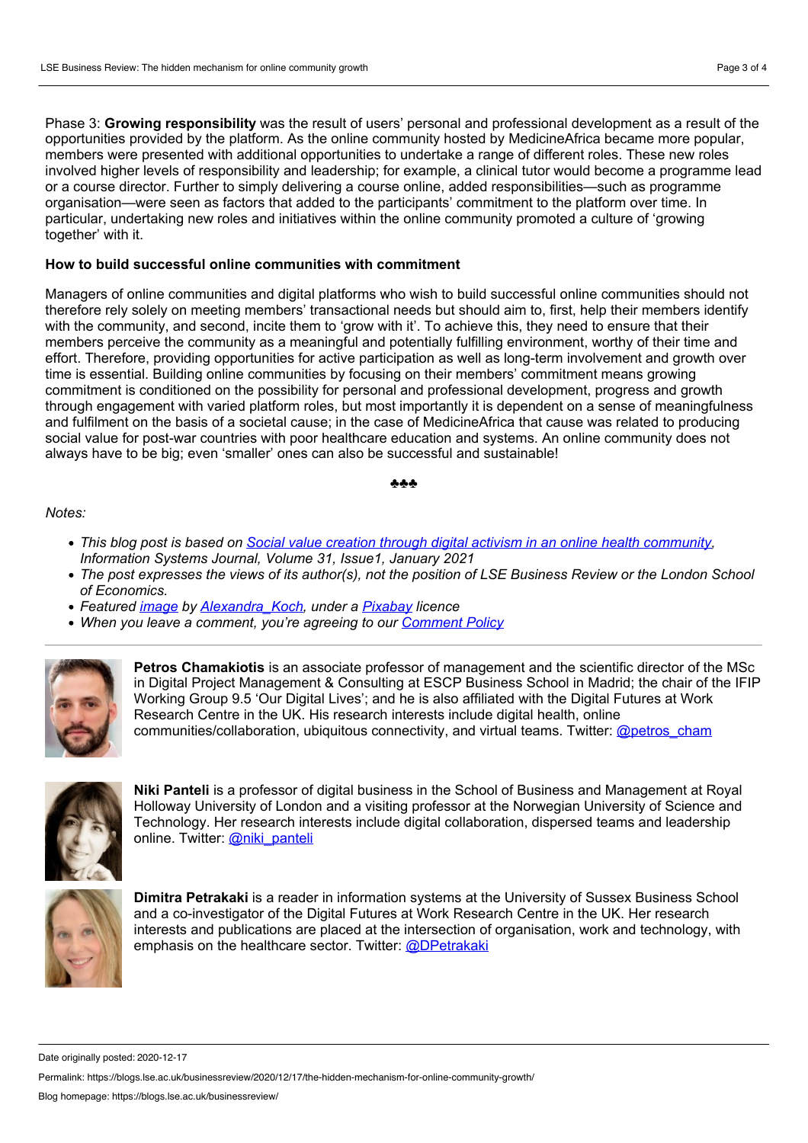Phase 3: **Growing responsibility** was the result of users' personal and professional development as a result of the opportunities provided by the platform. As the online community hosted by MedicineAfrica became more popular, members were presented with additional opportunities to undertake a range of different roles. These new roles involved higher levels of responsibility and leadership; for example, a clinical tutor would become a programme lead or a course director. Further to simply delivering a course online, added responsibilities—such as programme organisation—were seen as factors that added to the participants' commitment to the platform over time. In particular, undertaking new roles and initiatives within the online community promoted a culture of 'growing together' with it.

### **How to build successful online communities with commitment**

Managers of online communities and digital platforms who wish to build successful online communities should not therefore rely solely on meeting members' transactional needs but should aim to, first, help their members identify with the community, and second, incite them to 'grow with it'. To achieve this, they need to ensure that their members perceive the community as a meaningful and potentially fulfilling environment, worthy of their time and effort. Therefore, providing opportunities for active participation as well as long-term involvement and growth over time is essential. Building online communities by focusing on their members' commitment means growing commitment is conditioned on the possibility for personal and professional development, progress and growth through engagement with varied platform roles, but most importantly it is dependent on a sense of meaningfulness and fulfilment on the basis of a societal cause; in the case of MedicineAfrica that cause was related to producing social value for post-war countries with poor healthcare education and systems. An online community does not always have to be big; even 'smaller' ones can also be successful and sustainable!

#### ♣♣♣

#### *Notes:*

- *This blog post is based on Social value creation through digital activism in an online health [community,](https://onlinelibrary.wiley.com/doi/10.1111/isj.12302) Information Systems Journal, Volume 31, Issue1, January 2021*
- The post expresses the views of its author(s), not the position of LSE Business Review or the London School *of Economics.*
- *Featured [image](https://pixabay.com/illustrations/video-conference-online-home-office-5167472/) by [Alexandra\\_Koch](https://pixabay.com/users/alexandra_koch-621802/), under a [Pixabay](https://pixabay.com/service/license/) licence*
- *When you leave a comment, you're agreeing to our [Comment](https://blogs.lse.ac.uk/businessreview/comment-policy/) Policy*



**Petros Chamakiotis** is an associate professor of management and the scientific director of the MSc in Digital Project Management & Consulting at ESCP Business School in Madrid; the chair of the IFIP Working Group 9.5 'Our Digital Lives'; and he is also affiliated with the Digital Futures at Work Research Centre in the UK. His research interests include digital health, online communities/collaboration, ubiquitous connectivity, and virtual teams. Twitter: [@petros\\_cham](http://twitter.com/petros_cham)



**Niki Panteli** is a professor of digital business in the School of Business and Management at Royal Holloway University of London and a visiting professor at the Norwegian University of Science and Technology. Her research interests include digital collaboration, dispersed teams and leadership online. Twitter: [@niki\\_panteli](http://twitter.com/niki_panteli)



**Dimitra Petrakaki** is a reader in information systems at the University of Sussex Business School and a co-investigator of the Digital Futures at Work Research Centre in the UK. Her research interests and publications are placed at the intersection of organisation, work and technology, with emphasis on the healthcare sector. Twitter: [@DPetrakaki](https://twitter.com/DPetrakaki)

Date originally posted: 2020-12-17

Permalink: https://blogs.lse.ac.uk/businessreview/2020/12/17/the-hidden-mechanism-for-online-community-growth/